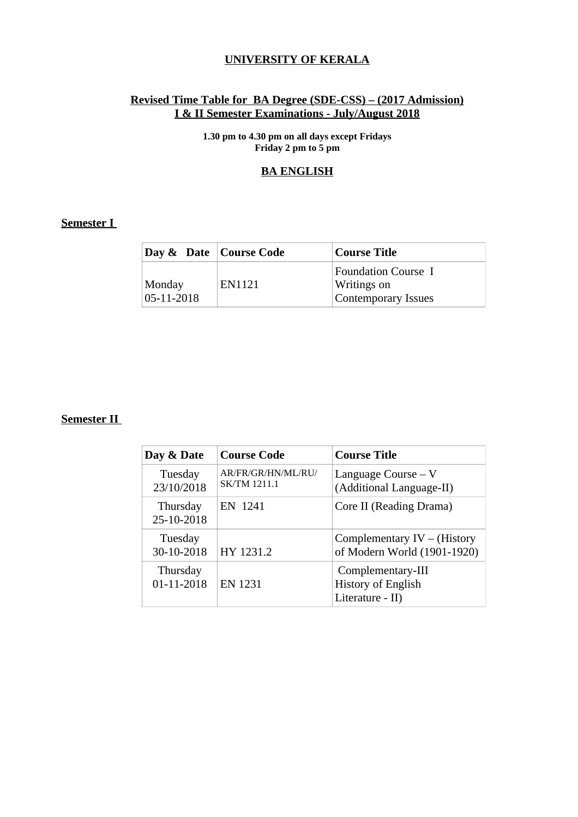#### **UNIVERSITY OF KERALA**

#### **Revised Time Table for BA Degree (SDE-CSS) – (2017 Admission) I & II Semester Examinations - July/August 2018**

**1.30 pm to 4.30 pm on all days except Fridays Friday 2 pm to 5 pm**

#### **BA ENGLISH**

#### **Semester I**

| Day & Date   Course Code   |        | Course Title                                                                   |
|----------------------------|--------|--------------------------------------------------------------------------------|
| Monday<br>$05 - 11 - 2018$ | EN1121 | <b>Foundation Course I</b><br><b>Writings on</b><br><b>Contemporary Issues</b> |

| Day & Date             | <b>Course Code</b>                        | <b>Course Title</b>                                                |
|------------------------|-------------------------------------------|--------------------------------------------------------------------|
| Tuesday<br>23/10/2018  | AR/FR/GR/HN/ML/RU/<br><b>SK/TM 1211.1</b> | Language Course $-V$<br>(Additional Language-II)                   |
| Thursday<br>25-10-2018 | EN 1241                                   | Core II (Reading Drama)                                            |
| Tuesday<br>30-10-2018  | HY 1231.2                                 | Complementary $IV - (History)$<br>of Modern World (1901-1920)      |
| Thursday<br>01-11-2018 | <b>EN 1231</b>                            | Complementary-III<br><b>History of English</b><br>Literature - II) |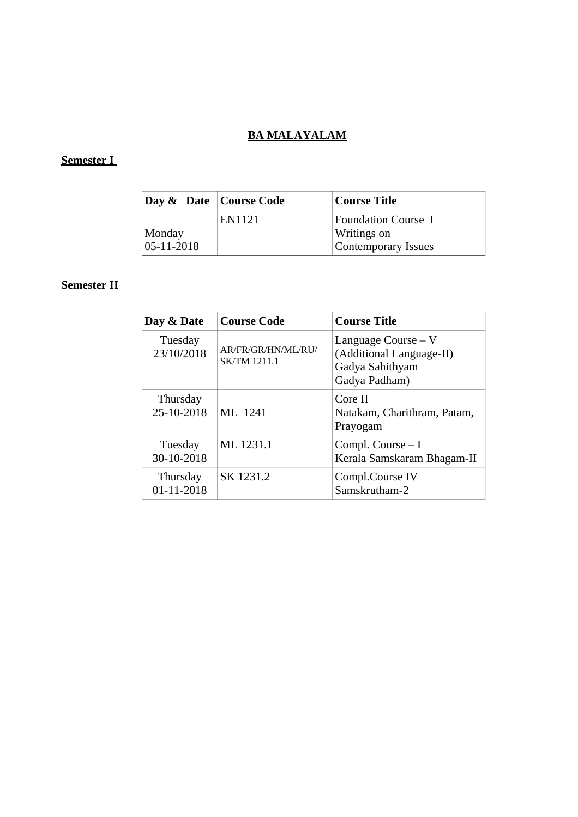## **BA MALAYALAM**

### **Semester I**

| Day & Date   Course Code |        | <b>Course Title</b>                                                            |
|--------------------------|--------|--------------------------------------------------------------------------------|
| Monday<br>05-11-2018     | EN1121 | <b>Foundation Course I</b><br><b>Writings on</b><br><b>Contemporary Issues</b> |

| Day & Date             | <b>Course Code</b>                        | <b>Course Title</b>                                                                  |
|------------------------|-------------------------------------------|--------------------------------------------------------------------------------------|
| Tuesday<br>23/10/2018  | AR/FR/GR/HN/ML/RU/<br><b>SK/TM 1211.1</b> | Language Course $-V$<br>(Additional Language-II)<br>Gadya Sahithyam<br>Gadya Padham) |
| Thursday<br>25-10-2018 | ML 1241                                   | Core II<br>Natakam, Charithram, Patam,<br>Prayogam                                   |
| Tuesday<br>30-10-2018  | ML 1231.1                                 | Compl. Course $-1$<br>Kerala Samskaram Bhagam-II                                     |
| Thursday<br>01-11-2018 | SK 1231.2                                 | Compl.Course IV<br>Samskrutham-2                                                     |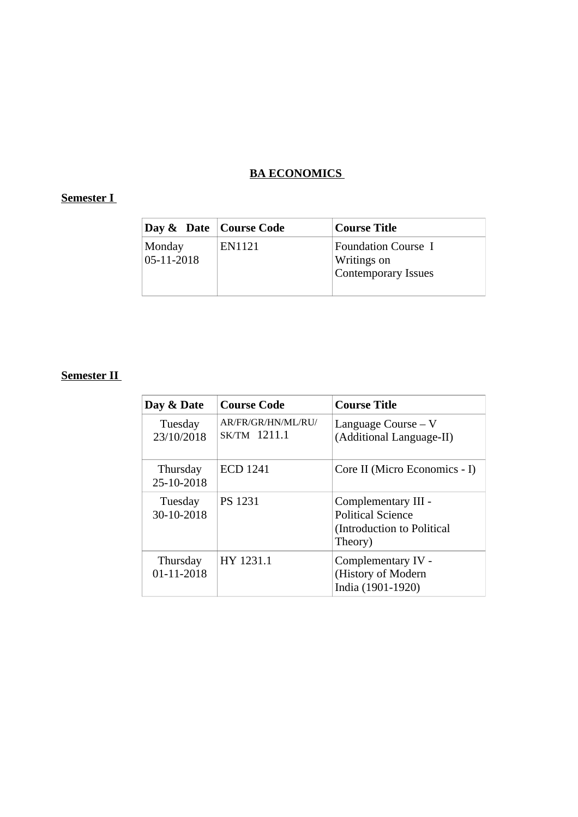#### **BA ECONOMICS**

### **Semester I**

| Day & Date   Course Code   |        | <b>Course Title</b>                                              |
|----------------------------|--------|------------------------------------------------------------------|
| Monday<br>$05 - 11 - 2018$ | EN1121 | <b>Foundation Course I</b><br>Writings on<br>Contemporary Issues |

| Day & Date             | <b>Course Code</b>                 | <b>Course Title</b>                                                                      |
|------------------------|------------------------------------|------------------------------------------------------------------------------------------|
| Tuesday<br>23/10/2018  | AR/FR/GR/HN/ML/RU/<br>SK/TM 1211.1 | Language Course $-V$<br>(Additional Language-II)                                         |
| Thursday<br>25-10-2018 | <b>ECD 1241</b>                    | Core II (Micro Economics - I)                                                            |
| Tuesday<br>30-10-2018  | <b>PS 1231</b>                     | Complementary III -<br><b>Political Science</b><br>(Introduction to Political<br>Theory) |
| Thursday<br>01-11-2018 | HY 1231.1                          | Complementary IV -<br>(History of Modern<br>India (1901-1920)                            |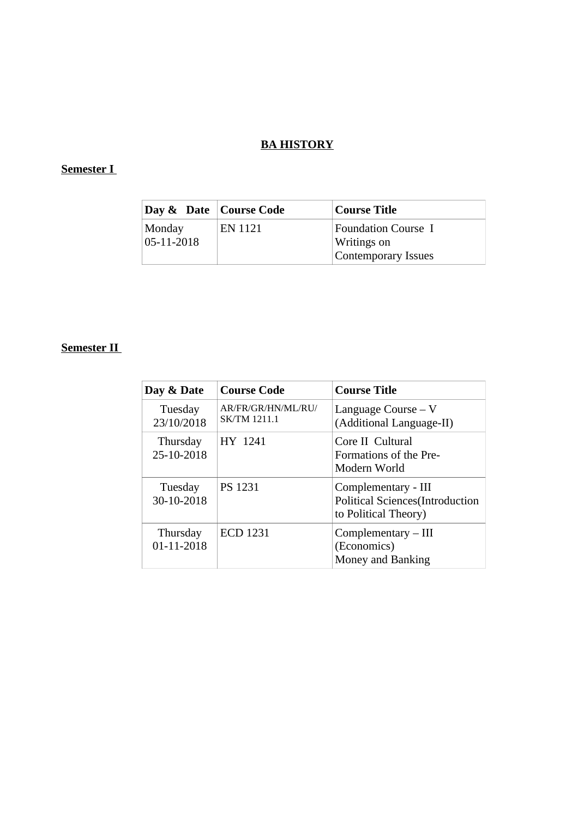### **BA HISTORY**

### **Semester I**

| Day & Date   Course Code |         | <b>Course Title</b>                                                     |
|--------------------------|---------|-------------------------------------------------------------------------|
| Monday<br>05-11-2018     | EN 1121 | <b>Foundation Course I</b><br><b>Writings on</b><br>Contemporary Issues |

| Day & Date             | <b>Course Code</b>                        | <b>Course Title</b>                                                                    |
|------------------------|-------------------------------------------|----------------------------------------------------------------------------------------|
| Tuesday<br>23/10/2018  | AR/FR/GR/HN/ML/RU/<br><b>SK/TM 1211.1</b> | Language Course $-V$<br>(Additional Language-II)                                       |
| Thursday<br>25-10-2018 | HY 1241                                   | Core II Cultural<br>Formations of the Pre-<br>Modern World                             |
| Tuesday<br>30-10-2018  | <b>PS 1231</b>                            | Complementary - III<br><b>Political Sciences</b> (Introduction<br>to Political Theory) |
| Thursday<br>01-11-2018 | <b>ECD 1231</b>                           | $Complementary - III$<br>(Economics)<br>Money and Banking                              |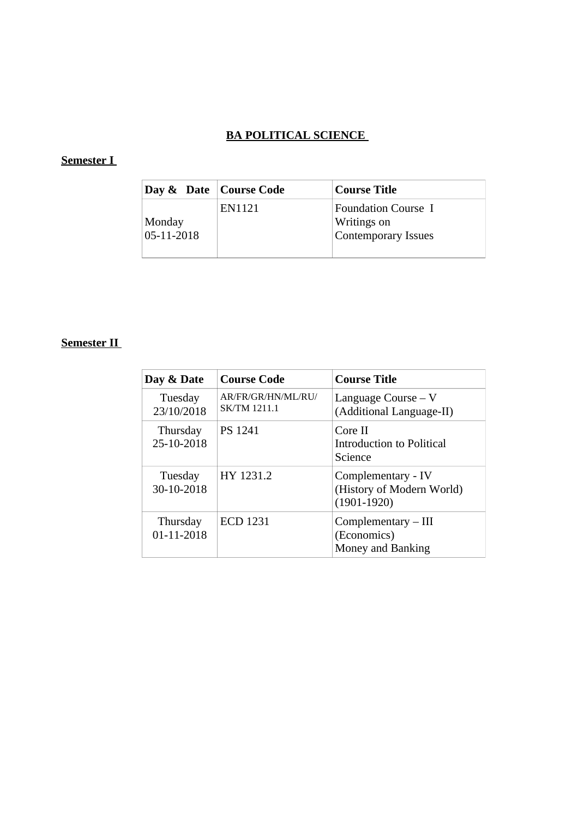# **BA POLITICAL SCIENCE**

### **Semester I**

| Day & Date   Course Code |        | <b>Course Title</b>                                              |
|--------------------------|--------|------------------------------------------------------------------|
| Monday<br>05-11-2018     | EN1121 | Foundation Course I<br>Writings on<br><b>Contemporary Issues</b> |

| Day & Date             | <b>Course Code</b>                        | <b>Course Title</b>                                                |
|------------------------|-------------------------------------------|--------------------------------------------------------------------|
| Tuesday<br>23/10/2018  | AR/FR/GR/HN/ML/RU/<br><b>SK/TM 1211.1</b> | Language Course $-V$<br>(Additional Language-II)                   |
| Thursday<br>25-10-2018 | <b>PS 1241</b>                            | Core II<br>Introduction to Political<br><b>Science</b>             |
| Tuesday<br>30-10-2018  | HY 1231.2                                 | Complementary - IV<br>(History of Modern World)<br>$(1901 - 1920)$ |
| Thursday<br>01-11-2018 | <b>ECD 1231</b>                           | $Complementary - III$<br>(Economics)<br>Money and Banking          |